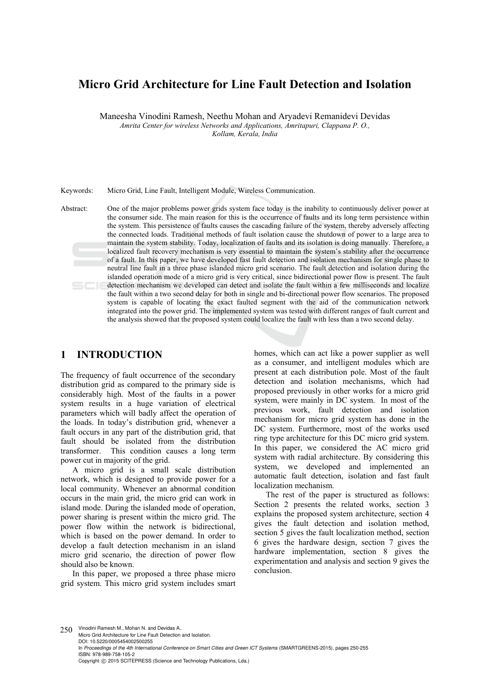# **Micro Grid Architecture for Line Fault Detection and Isolation**

Maneesha Vinodini Ramesh, Neethu Mohan and Aryadevi Remanidevi Devidas

*Amrita Center for wireless Networks and Applications, Amritapuri, Clappana P. O., Kollam, Kerala, India*

Keywords: Micro Grid, Line Fault, Intelligent Module, Wireless Communication.

Abstract: One of the major problems power grids system face today is the inability to continuously deliver power at the consumer side. The main reason for this is the occurrence of faults and its long term persistence within the system. This persistence of faults causes the cascading failure of the system, thereby adversely affecting the connected loads. Traditional methods of fault isolation cause the shutdown of power to a large area to maintain the system stability. Today, localization of faults and its isolation is doing manually. Therefore, a localized fault recovery mechanism is very essential to maintain the system's stability after the occurrence of a fault. In this paper, we have developed fast fault detection and isolation mechanism for single phase to neutral line fault in a three phase islanded micro grid scenario. The fault detection and isolation during the islanded operation mode of a micro grid is very critical, since bidirectional power flow is present. The fault detection mechanism we developed can detect and isolate the fault within a few milliseconds and localize the fault within a two second delay for both in single and bi-directional power flow scenarios. The proposed system is capable of locating the exact faulted segment with the aid of the communication network integrated into the power grid. The implemented system was tested with different ranges of fault current and the analysis showed that the proposed system could localize the fault with less than a two second delay.

#### **1 INTRODUCTION**

The frequency of fault occurrence of the secondary distribution grid as compared to the primary side is considerably high. Most of the faults in a power system results in a huge variation of electrical parameters which will badly affect the operation of the loads. In today's distribution grid, whenever a fault occurs in any part of the distribution grid, that fault should be isolated from the distribution transformer. This condition causes a long term power cut in majority of the grid.

A micro grid is a small scale distribution network, which is designed to provide power for a local community. Whenever an abnormal condition occurs in the main grid, the micro grid can work in island mode. During the islanded mode of operation, power sharing is present within the micro grid. The power flow within the network is bidirectional, which is based on the power demand. In order to develop a fault detection mechanism in an island micro grid scenario, the direction of power flow should also be known.

In this paper, we proposed a three phase micro grid system. This micro grid system includes smart

homes, which can act like a power supplier as well as a consumer, and intelligent modules which are present at each distribution pole. Most of the fault detection and isolation mechanisms, which had proposed previously in other works for a micro grid system, were mainly in DC system. In most of the previous work, fault detection and isolation mechanism for micro grid system has done in the DC system. Furthermore, most of the works used ring type architecture for this DC micro grid system. In this paper, we considered the AC micro grid system with radial architecture. By considering this system, we developed and implemented an automatic fault detection, isolation and fast fault localization mechanism.

The rest of the paper is structured as follows: Section 2 presents the related works, section 3 explains the proposed system architecture, section 4 gives the fault detection and isolation method, section 5 gives the fault localization method, section 6 gives the hardware design, section 7 gives the hardware implementation, section 8 gives the experimentation and analysis and section 9 gives the conclusion.

250 Vinodini Ramesh M., Mohan N. and Devidas A.. Micro Grid Architecture for Line Fault Detection and Isolation. DOI: 10.5220/0005454002500255 In *Proceedings of the 4th International Conference on Smart Cities and Green ICT Systems* (SMARTGREENS-2015), pages 250-255 ISBN: 978-989-758-105-2 Copyright © 2015 SCITEPRESS (Science and Technology Publications, Lda.)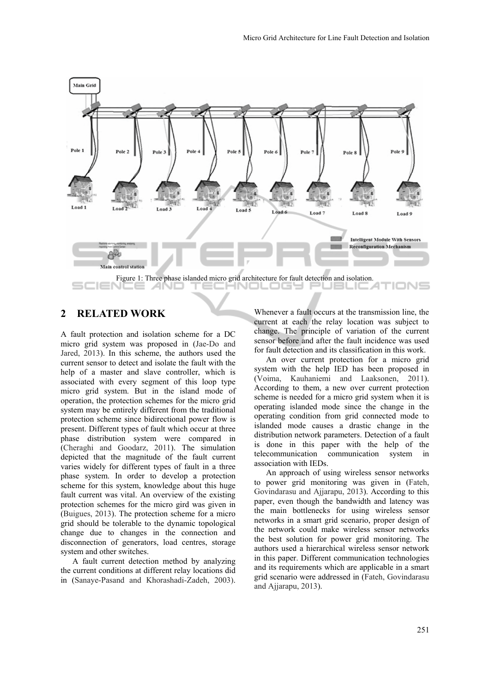

### **2 RELATED WORK**

A fault protection and isolation scheme for a DC micro grid system was proposed in (Jae-Do and Jared, 2013). In this scheme, the authors used the current sensor to detect and isolate the fault with the help of a master and slave controller, which is associated with every segment of this loop type micro grid system. But in the island mode of operation, the protection schemes for the micro grid system may be entirely different from the traditional protection scheme since bidirectional power flow is present. Different types of fault which occur at three phase distribution system were compared in (Cheraghi and Goodarz, 2011). The simulation depicted that the magnitude of the fault current varies widely for different types of fault in a three phase system. In order to develop a protection scheme for this system, knowledge about this huge fault current was vital. An overview of the existing protection schemes for the micro gird was given in (Buigues, 2013). The protection scheme for a micro grid should be tolerable to the dynamic topological change due to changes in the connection and disconnection of generators, load centres, storage system and other switches.

A fault current detection method by analyzing the current conditions at different relay locations did in (Sanaye-Pasand and Khorashadi-Zadeh, 2003).

Whenever a fault occurs at the transmission line, the current at each the relay location was subject to change. The principle of variation of the current sensor before and after the fault incidence was used for fault detection and its classification in this work.

An over current protection for a micro grid system with the help IED has been proposed in (Voima, Kauhaniemi and Laaksonen, 2011). According to them, a new over current protection scheme is needed for a micro grid system when it is operating islanded mode since the change in the operating condition from grid connected mode to islanded mode causes a drastic change in the distribution network parameters. Detection of a fault is done in this paper with the help of the telecommunication communication system in association with IEDs.

An approach of using wireless sensor networks to power grid monitoring was given in (Fateh, Govindarasu and Ajjarapu, 2013). According to this paper, even though the bandwidth and latency was the main bottlenecks for using wireless sensor networks in a smart grid scenario, proper design of the network could make wireless sensor networks the best solution for power grid monitoring. The authors used a hierarchical wireless sensor network in this paper. Different communication technologies and its requirements which are applicable in a smart grid scenario were addressed in (Fateh, Govindarasu and Ajjarapu, 2013).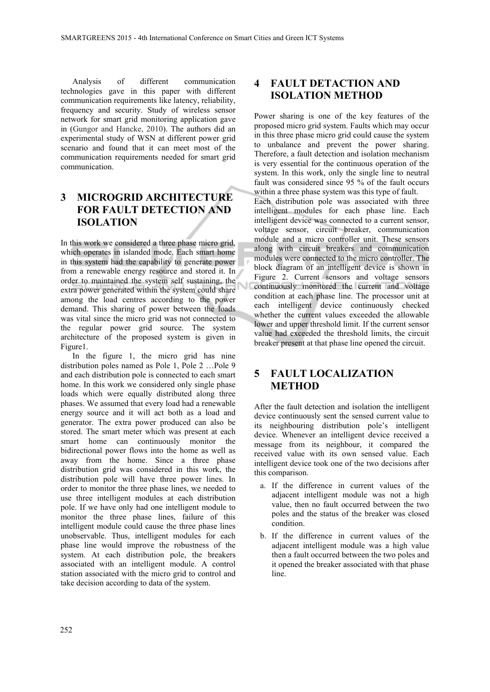Analysis of different communication technologies gave in this paper with different communication requirements like latency, reliability, frequency and security. Study of wireless sensor network for smart grid monitoring application gave in (Gungor and Hancke, 2010). The authors did an experimental study of WSN at different power grid scenario and found that it can meet most of the communication requirements needed for smart grid communication.

# **3 MICROGRID ARCHITECTURE FOR FAULT DETECTION AND ISOLATION**

In this work we considered a three phase micro grid, which operates in islanded mode. Each smart home in this system had the capability to generate power from a renewable energy resource and stored it. In order to maintained the system self sustaining, the extra power generated within the system could share among the load centres according to the power demand. This sharing of power between the loads was vital since the micro grid was not connected to the regular power grid source. The system architecture of the proposed system is given in Figure1.

In the figure 1, the micro grid has nine distribution poles named as Pole 1, Pole 2 …Pole 9 and each distribution pole is connected to each smart home. In this work we considered only single phase loads which were equally distributed along three phases. We assumed that every load had a renewable energy source and it will act both as a load and generator. The extra power produced can also be stored. The smart meter which was present at each smart home can continuously monitor the bidirectional power flows into the home as well as away from the home. Since a three phase distribution grid was considered in this work, the distribution pole will have three power lines. In order to monitor the three phase lines, we needed to use three intelligent modules at each distribution pole. If we have only had one intelligent module to monitor the three phase lines, failure of this intelligent module could cause the three phase lines unobservable. Thus, intelligent modules for each phase line would improve the robustness of the system. At each distribution pole, the breakers associated with an intelligent module. A control station associated with the micro grid to control and take decision according to data of the system.

### **4 FAULT DETACTION AND ISOLATION METHOD**

Power sharing is one of the key features of the proposed micro grid system. Faults which may occur in this three phase micro grid could cause the system to unbalance and prevent the power sharing. Therefore, a fault detection and isolation mechanism is very essential for the continuous operation of the system. In this work, only the single line to neutral fault was considered since 95 % of the fault occurs within a three phase system was this type of fault.

Each distribution pole was associated with three intelligent modules for each phase line. Each intelligent device was connected to a current sensor, voltage sensor, circuit breaker, communication module and a micro controller unit. These sensors along with circuit breakers and communication modules were connected to the micro controller. The block diagram of an intelligent device is shown in Figure 2. Current sensors and voltage sensors continuously monitored the current and voltage condition at each phase line. The processor unit at each intelligent device continuously checked whether the current values exceeded the allowable lower and upper threshold limit. If the current sensor value had exceeded the threshold limits, the circuit breaker present at that phase line opened the circuit.

### **5 FAULT LOCALIZATION METHOD**

After the fault detection and isolation the intelligent device continuously sent the sensed current value to its neighbouring distribution pole's intelligent device. Whenever an intelligent device received a message from its neighbour, it compared the received value with its own sensed value. Each intelligent device took one of the two decisions after this comparison.

- a. If the difference in current values of the adjacent intelligent module was not a high value, then no fault occurred between the two poles and the status of the breaker was closed condition.
- b. If the difference in current values of the adjacent intelligent module was a high value then a fault occurred between the two poles and it opened the breaker associated with that phase line.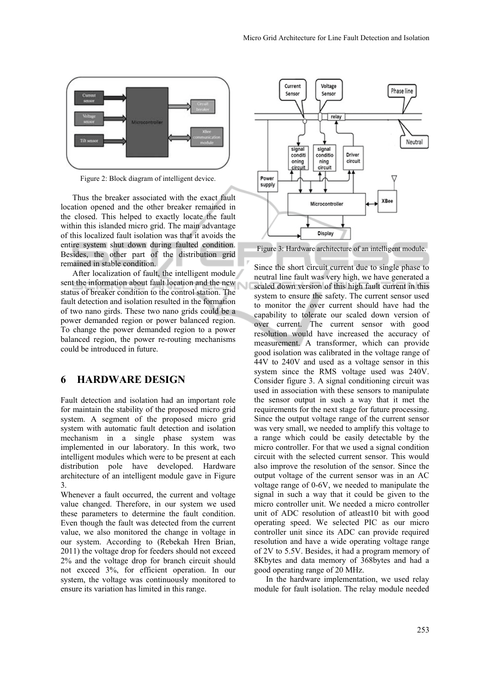

Figure 2: Block diagram of intelligent device.

Thus the breaker associated with the exact fault location opened and the other breaker remained in the closed. This helped to exactly locate the fault within this islanded micro grid. The main advantage of this localized fault isolation was that it avoids the entire system shut down during faulted condition. Besides, the other part of the distribution grid remained in stable condition.

After localization of fault, the intelligent module sent the information about fault location and the new status of breaker condition to the control station. The fault detection and isolation resulted in the formation of two nano girds. These two nano grids could be a power demanded region or power balanced region. To change the power demanded region to a power balanced region, the power re-routing mechanisms could be introduced in future.

#### **6 HARDWARE DESIGN**

Fault detection and isolation had an important role for maintain the stability of the proposed micro grid system. A segment of the proposed micro grid system with automatic fault detection and isolation mechanism in a single phase system was implemented in our laboratory. In this work, two intelligent modules which were to be present at each distribution pole have developed. Hardware architecture of an intelligent module gave in Figure 3.

Whenever a fault occurred, the current and voltage value changed. Therefore, in our system we used these parameters to determine the fault condition. Even though the fault was detected from the current value, we also monitored the change in voltage in our system. According to (Rebekah Hren Brian, 2011) the voltage drop for feeders should not exceed 2% and the voltage drop for branch circuit should not exceed 3%, for efficient operation. In our system, the voltage was continuously monitored to ensure its variation has limited in this range.



Figure 3: Hardware architecture of an intelligent module.

Since the short circuit current due to single phase to neutral line fault was very high, we have generated a scaled down version of this high fault current in this system to ensure the safety. The current sensor used to monitor the over current should have had the capability to tolerate our scaled down version of over current. The current sensor with good resolution would have increased the accuracy of measurement. A transformer, which can provide good isolation was calibrated in the voltage range of 44V to 240V and used as a voltage sensor in this system since the RMS voltage used was 240V. Consider figure 3. A signal conditioning circuit was used in association with these sensors to manipulate the sensor output in such a way that it met the requirements for the next stage for future processing. Since the output voltage range of the current sensor was very small, we needed to amplify this voltage to a range which could be easily detectable by the micro controller. For that we used a signal condition circuit with the selected current sensor. This would also improve the resolution of the sensor. Since the output voltage of the current sensor was in an AC voltage range of 0-6V, we needed to manipulate the signal in such a way that it could be given to the micro controller unit. We needed a micro controller unit of ADC resolution of atleast10 bit with good operating speed. We selected PIC as our micro controller unit since its ADC can provide required resolution and have a wide operating voltage range of 2V to 5.5V. Besides, it had a program memory of 8Kbytes and data memory of 368bytes and had a good operating range of 20 MHz.

In the hardware implementation, we used relay module for fault isolation. The relay module needed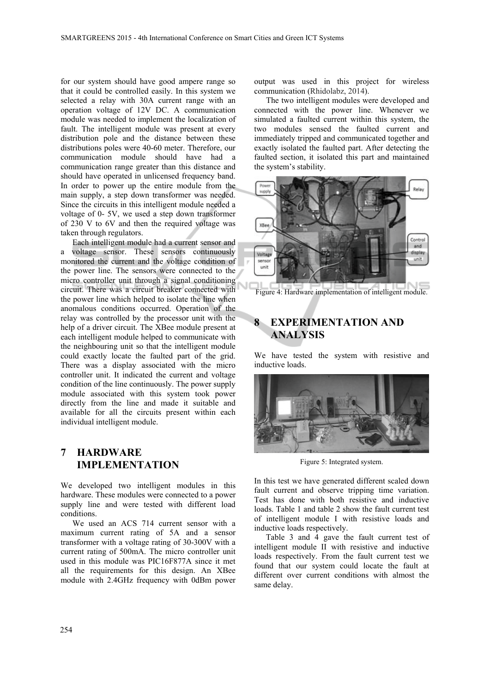for our system should have good ampere range so that it could be controlled easily. In this system we selected a relay with 30A current range with an operation voltage of 12V DC. A communication module was needed to implement the localization of fault. The intelligent module was present at every distribution pole and the distance between these distributions poles were 40-60 meter. Therefore, our communication module should have had a communication range greater than this distance and should have operated in unlicensed frequency band. In order to power up the entire module from the main supply, a step down transformer was needed. Since the circuits in this intelligent module needed a voltage of 0- 5V, we used a step down transformer of 230 V to 6V and then the required voltage was taken through regulators.

Each intelligent module had a current sensor and a voltage sensor. These sensors continuously monitored the current and the voltage condition of the power line. The sensors were connected to the micro controller unit through a signal conditioning circuit. There was a circuit breaker connected with the power line which helped to isolate the line when anomalous conditions occurred. Operation of the relay was controlled by the processor unit with the help of a driver circuit. The XBee module present at each intelligent module helped to communicate with the neighbouring unit so that the intelligent module could exactly locate the faulted part of the grid. There was a display associated with the micro controller unit. It indicated the current and voltage condition of the line continuously. The power supply module associated with this system took power directly from the line and made it suitable and available for all the circuits present within each individual intelligent module.

# **7 HARDWARE IMPLEMENTATION**

We developed two intelligent modules in this hardware. These modules were connected to a power supply line and were tested with different load conditions.

We used an ACS 714 current sensor with a maximum current rating of 5A and a sensor transformer with a voltage rating of 30-300V with a current rating of 500mA. The micro controller unit used in this module was PIC16F877A since it met all the requirements for this design. An XBee module with 2.4GHz frequency with 0dBm power

output was used in this project for wireless communication (Rhidolabz, 2014).

The two intelligent modules were developed and connected with the power line. Whenever we simulated a faulted current within this system, the two modules sensed the faulted current and immediately tripped and communicated together and exactly isolated the faulted part. After detecting the faulted section, it isolated this part and maintained the system's stability.



Figure 4: Hardware implementation of intelligent module.

# **EXPERIMENTATION AND ANALYSIS**

We have tested the system with resistive and inductive loads.



Figure 5: Integrated system.

In this test we have generated different scaled down fault current and observe tripping time variation. Test has done with both resistive and inductive loads. Table 1 and table 2 show the fault current test of intelligent module I with resistive loads and inductive loads respectively.

Table 3 and 4 gave the fault current test of intelligent module II with resistive and inductive loads respectively. From the fault current test we found that our system could locate the fault at different over current conditions with almost the same delay.